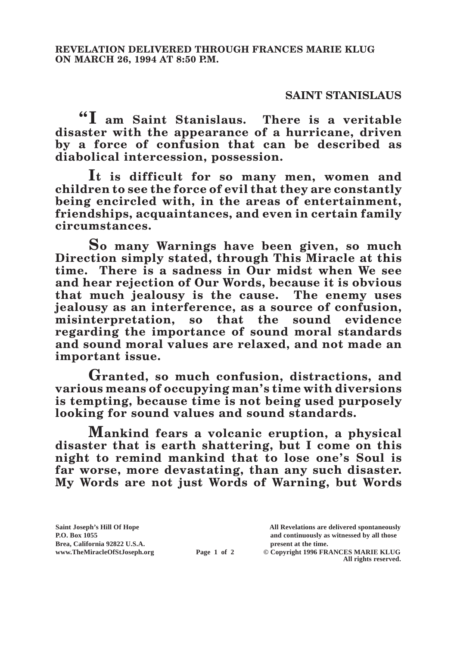## **SAINT STANISLAUS**

**"I am Saint Stanislaus. There is a veritable disaster with the appearance of a hurricane, driven by a force of confusion that can be described as diabolical intercession, possession.**

**It is difficult for so many men, women and children to see the force of evil that they are constantly being encircled with, in the areas of entertainment, friendships, acquaintances, and even in certain family circumstances.**

**So many Warnings have been given, so much Direction simply stated, through This Miracle at this time. There is a sadness in Our midst when We see and hear rejection of Our Words, because it is obvious that much jealousy is the cause. The enemy uses jealousy as an interference, as a source of confusion, misinterpretation, so that the sound evidence regarding the importance of sound moral standards and sound moral values are relaxed, and not made an important issue.**

**Granted, so much confusion, distractions, and various means of occupying man's time with diversions is tempting, because time is not being used purposely looking for sound values and sound standards.**

**Mankind fears a volcanic eruption, a physical disaster that is earth shattering, but I come on this night to remind mankind that to lose one's Soul is far worse, more devastating, than any such disaster. My Words are not just Words of Warning, but Words** 

**P.O. Box 1055 and continuously as witnessed by all those** 

**Page 1 of 2** © Copyright 1996 FRANCES MARIE KLUG **All rights reserved.**